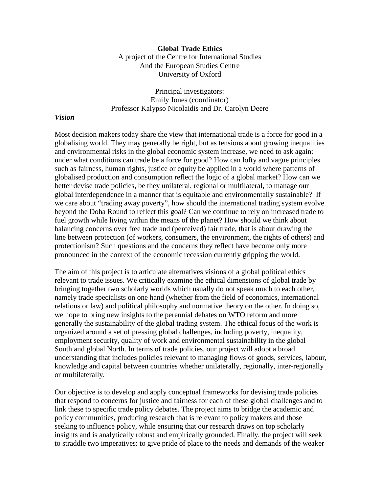#### **Global Trade Ethics**

A project of the Centre for International Studies And the European Studies Centre University of Oxford

Principal investigators: Emily Jones (coordinator) Professor Kalypso Nicolaidis and Dr. Carolyn Deere

#### *Vision*

Most decision makers today share the view that international trade is a force for good in a globalising world. They may generally be right, but as tensions about growing inequalities and environmental risks in the global economic system increase, we need to ask again: under what conditions can trade be a force for good? How can lofty and vague principles such as fairness, human rights, justice or equity be applied in a world where patterns of globalised production and consumption reflect the logic of a global market? How can we better devise trade policies, be they unilateral, regional or multilateral, to manage our global interdependence in a manner that is equitable and environmentally sustainable? If we care about "trading away poverty", how should the international trading system evolve beyond the Doha Round to reflect this goal? Can we continue to rely on increased trade to fuel growth while living within the means of the planet? How should we think about balancing concerns over free trade and (perceived) fair trade, that is about drawing the line between protection (of workers, consumers, the environment, the rights of others) and protectionism? Such questions and the concerns they reflect have become only more pronounced in the context of the economic recession currently gripping the world.

The aim of this project is to articulate alternatives visions of a global political ethics relevant to trade issues. We critically examine the ethical dimensions of global trade by bringing together two scholarly worlds which usually do not speak much to each other, namely trade specialists on one hand (whether from the field of economics, international relations or law) and political philosophy and normative theory on the other. In doing so, we hope to bring new insights to the perennial debates on WTO reform and more generally the sustainability of the global trading system. The ethical focus of the work is organized around a set of pressing global challenges, including poverty, inequality, employment security, quality of work and environmental sustainability in the global South and global North. In terms of trade policies, our project will adopt a broad understanding that includes policies relevant to managing flows of goods, services, labour, knowledge and capital between countries whether unilaterally, regionally, inter-regionally or multilaterally.

Our objective is to develop and apply conceptual frameworks for devising trade policies that respond to concerns for justice and fairness for each of these global challenges and to link these to specific trade policy debates. The project aims to bridge the academic and policy communities, producing research that is relevant to policy makers and those seeking to influence policy, while ensuring that our research draws on top scholarly insights and is analytically robust and empirically grounded. Finally, the project will seek to straddle two imperatives: to give pride of place to the needs and demands of the weaker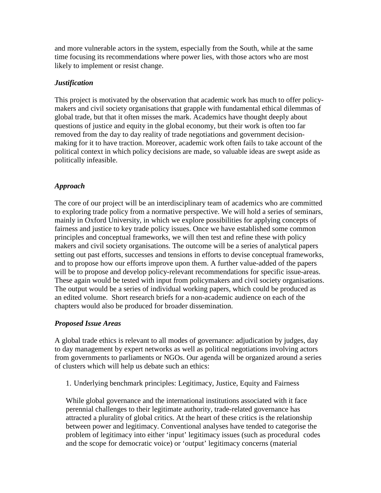and more vulnerable actors in the system, especially from the South, while at the same time focusing its recommendations where power lies, with those actors who are most likely to implement or resist change.

## *Justification*

This project is motivated by the observation that academic work has much to offer policymakers and civil society organisations that grapple with fundamental ethical dilemmas of global trade, but that it often misses the mark. Academics have thought deeply about questions of justice and equity in the global economy, but their work is often too far removed from the day to day reality of trade negotiations and government decisionmaking for it to have traction. Moreover, academic work often fails to take account of the political context in which policy decisions are made, so valuable ideas are swept aside as politically infeasible.

# *Approach*

The core of our project will be an interdisciplinary team of academics who are committed to exploring trade policy from a normative perspective. We will hold a series of seminars, mainly in Oxford University, in which we explore possibilities for applying concepts of fairness and justice to key trade policy issues. Once we have established some common principles and conceptual frameworks, we will then test and refine these with policy makers and civil society organisations. The outcome will be a series of analytical papers setting out past efforts, successes and tensions in efforts to devise conceptual frameworks, and to propose how our efforts improve upon them. A further value-added of the papers will be to propose and develop policy-relevant recommendations for specific issue-areas. These again would be tested with input from policymakers and civil society organisations. The output would be a series of individual working papers, which could be produced as an edited volume. Short research briefs for a non-academic audience on each of the chapters would also be produced for broader dissemination.

### *Proposed Issue Areas*

A global trade ethics is relevant to all modes of governance: adjudication by judges, day to day management by expert networks as well as political negotiations involving actors from governments to parliaments or NGOs. Our agenda will be organized around a series of clusters which will help us debate such an ethics:

1. Underlying benchmark principles: Legitimacy, Justice, Equity and Fairness

While global governance and the international institutions associated with it face perennial challenges to their legitimate authority, trade-related governance has attracted a plurality of global critics. At the heart of these critics is the relationship between power and legitimacy. Conventional analyses have tended to categorise the problem of legitimacy into either 'input' legitimacy issues (such as procedural codes and the scope for democratic voice) or 'output' legitimacy concerns (material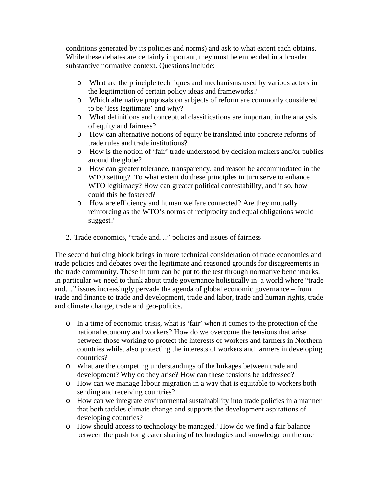conditions generated by its policies and norms) and ask to what extent each obtains. While these debates are certainly important, they must be embedded in a broader substantive normative context. Questions include:

- o What are the principle techniques and mechanisms used by various actors in the legitimation of certain policy ideas and frameworks?
- o Which alternative proposals on subjects of reform are commonly considered to be 'less legitimate' and why?
- o What definitions and conceptual classifications are important in the analysis of equity and fairness?
- o How can alternative notions of equity be translated into concrete reforms of trade rules and trade institutions?
- o How is the notion of 'fair' trade understood by decision makers and/or publics around the globe?
- o How can greater tolerance, transparency, and reason be accommodated in the WTO setting? To what extent do these principles in turn serve to enhance WTO legitimacy? How can greater political contestability, and if so, how could this be fostered?
- o How are efficiency and human welfare connected? Are they mutually reinforcing as the WTO's norms of reciprocity and equal obligations would suggest?
- 2. Trade economics, "trade and…" policies and issues of fairness

The second building block brings in more technical consideration of trade economics and trade policies and debates over the legitimate and reasoned grounds for disagreements in the trade community. These in turn can be put to the test through normative benchmarks. In particular we need to think about trade governance holistically in a world where "trade and…" issues increasingly pervade the agenda of global economic governance – from trade and finance to trade and development, trade and labor, trade and human rights, trade and climate change, trade and geo-politics.

- o In a time of economic crisis, what is 'fair' when it comes to the protection of the national economy and workers? How do we overcome the tensions that arise between those working to protect the interests of workers and farmers in Northern countries whilst also protecting the interests of workers and farmers in developing countries?
- o What are the competing understandings of the linkages between trade and development? Why do they arise? How can these tensions be addressed?
- o How can we manage labour migration in a way that is equitable to workers both sending and receiving countries?
- o How can we integrate environmental sustainability into trade policies in a manner that both tackles climate change and supports the development aspirations of developing countries?
- o How should access to technology be managed? How do we find a fair balance between the push for greater sharing of technologies and knowledge on the one